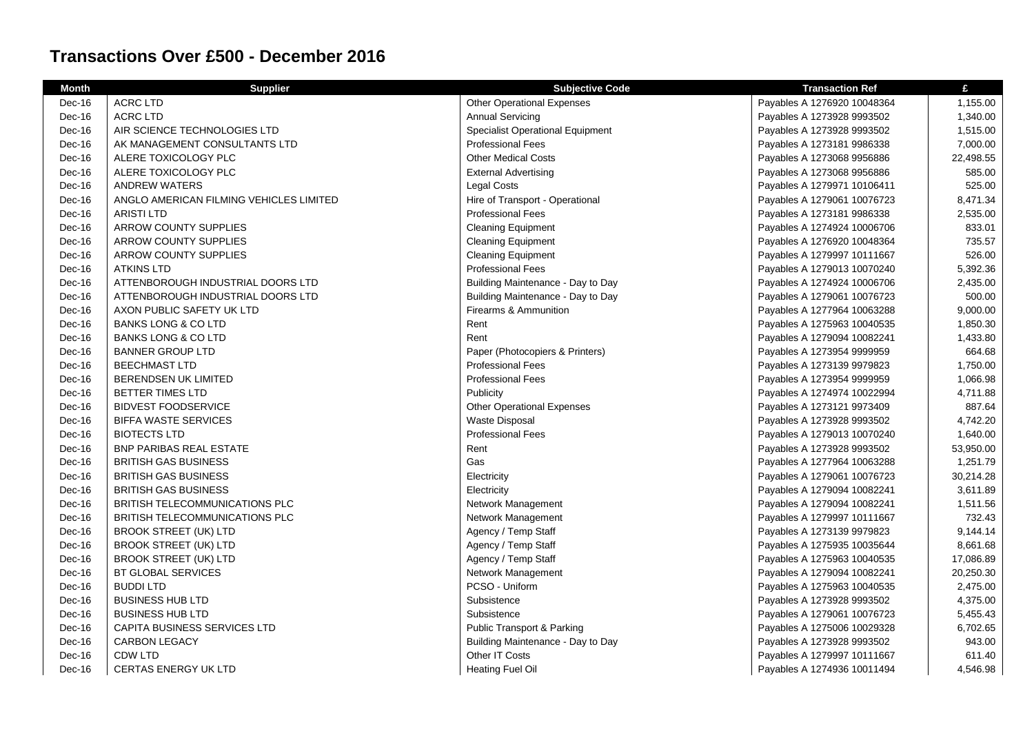## **Transactions Over £500 - December 2016**

| <b>Month</b> | <b>Supplier</b>                         | <b>Subjective Code</b>                  | <b>Transaction Ref</b>      | £         |
|--------------|-----------------------------------------|-----------------------------------------|-----------------------------|-----------|
| Dec-16       | <b>ACRC LTD</b>                         | <b>Other Operational Expenses</b>       | Payables A 1276920 10048364 | 1,155.00  |
| Dec-16       | <b>ACRC LTD</b>                         | <b>Annual Servicing</b>                 | Payables A 1273928 9993502  | 1,340.00  |
| Dec-16       | AIR SCIENCE TECHNOLOGIES LTD            | <b>Specialist Operational Equipment</b> | Payables A 1273928 9993502  | 1,515.00  |
| Dec-16       | AK MANAGEMENT CONSULTANTS LTD           | <b>Professional Fees</b>                | Payables A 1273181 9986338  | 7,000.00  |
| Dec-16       | ALERE TOXICOLOGY PLC                    | <b>Other Medical Costs</b>              | Payables A 1273068 9956886  | 22,498.55 |
| Dec-16       | ALERE TOXICOLOGY PLC                    | <b>External Advertising</b>             | Payables A 1273068 9956886  | 585.00    |
| Dec-16       | <b>ANDREW WATERS</b>                    | <b>Legal Costs</b>                      | Payables A 1279971 10106411 | 525.00    |
| Dec-16       | ANGLO AMERICAN FILMING VEHICLES LIMITED | Hire of Transport - Operational         | Payables A 1279061 10076723 | 8,471.34  |
| Dec-16       | <b>ARISTI LTD</b>                       | <b>Professional Fees</b>                | Payables A 1273181 9986338  | 2,535.00  |
| Dec-16       | ARROW COUNTY SUPPLIES                   | <b>Cleaning Equipment</b>               | Payables A 1274924 10006706 | 833.01    |
| Dec-16       | ARROW COUNTY SUPPLIES                   | <b>Cleaning Equipment</b>               | Payables A 1276920 10048364 | 735.57    |
| Dec-16       | ARROW COUNTY SUPPLIES                   | <b>Cleaning Equipment</b>               | Payables A 1279997 10111667 | 526.00    |
| Dec-16       | <b>ATKINS LTD</b>                       | <b>Professional Fees</b>                | Payables A 1279013 10070240 | 5,392.36  |
| Dec-16       | ATTENBOROUGH INDUSTRIAL DOORS LTD       | Building Maintenance - Day to Day       | Payables A 1274924 10006706 | 2,435.00  |
| Dec-16       | ATTENBOROUGH INDUSTRIAL DOORS LTD       | Building Maintenance - Day to Day       | Payables A 1279061 10076723 | 500.00    |
| Dec-16       | AXON PUBLIC SAFETY UK LTD               | Firearms & Ammunition                   | Payables A 1277964 10063288 | 9,000.00  |
| Dec-16       | <b>BANKS LONG &amp; CO LTD</b>          | Rent                                    | Payables A 1275963 10040535 | 1,850.30  |
| Dec-16       | <b>BANKS LONG &amp; CO LTD</b>          | Rent                                    | Payables A 1279094 10082241 | 1,433.80  |
| Dec-16       | <b>BANNER GROUP LTD</b>                 | Paper (Photocopiers & Printers)         | Payables A 1273954 9999959  | 664.68    |
| Dec-16       | <b>BEECHMAST LTD</b>                    | <b>Professional Fees</b>                | Payables A 1273139 9979823  | 1,750.00  |
| Dec-16       | BERENDSEN UK LIMITED                    | <b>Professional Fees</b>                | Payables A 1273954 9999959  | 1,066.98  |
| Dec-16       | BETTER TIMES LTD                        | Publicity                               | Payables A 1274974 10022994 | 4,711.88  |
| Dec-16       | <b>BIDVEST FOODSERVICE</b>              | <b>Other Operational Expenses</b>       | Payables A 1273121 9973409  | 887.64    |
| Dec-16       | <b>BIFFA WASTE SERVICES</b>             | <b>Waste Disposal</b>                   | Payables A 1273928 9993502  | 4,742.20  |
| Dec-16       | <b>BIOTECTS LTD</b>                     | <b>Professional Fees</b>                | Payables A 1279013 10070240 | 1,640.00  |
| Dec-16       | <b>BNP PARIBAS REAL ESTATE</b>          | Rent                                    | Payables A 1273928 9993502  | 53,950.00 |
| Dec-16       | <b>BRITISH GAS BUSINESS</b>             | Gas                                     | Payables A 1277964 10063288 | 1,251.79  |
| Dec-16       | <b>BRITISH GAS BUSINESS</b>             | Electricity                             | Payables A 1279061 10076723 | 30,214.28 |
| Dec-16       | <b>BRITISH GAS BUSINESS</b>             | Electricity                             | Payables A 1279094 10082241 | 3,611.89  |
| Dec-16       | <b>BRITISH TELECOMMUNICATIONS PLC</b>   | Network Management                      | Payables A 1279094 10082241 | 1,511.56  |
| Dec-16       | BRITISH TELECOMMUNICATIONS PLC          | Network Management                      | Payables A 1279997 10111667 | 732.43    |
| Dec-16       | <b>BROOK STREET (UK) LTD</b>            | Agency / Temp Staff                     | Payables A 1273139 9979823  | 9,144.14  |
| Dec-16       | <b>BROOK STREET (UK) LTD</b>            | Agency / Temp Staff                     | Payables A 1275935 10035644 | 8,661.68  |
| Dec-16       | <b>BROOK STREET (UK) LTD</b>            | Agency / Temp Staff                     | Payables A 1275963 10040535 | 17,086.89 |
| Dec-16       | <b>BT GLOBAL SERVICES</b>               | Network Management                      | Payables A 1279094 10082241 | 20,250.30 |
| Dec-16       | <b>BUDDI LTD</b>                        | PCSO - Uniform                          | Payables A 1275963 10040535 | 2,475.00  |
| Dec-16       | <b>BUSINESS HUB LTD</b>                 | Subsistence                             | Payables A 1273928 9993502  | 4,375.00  |
| Dec-16       | <b>BUSINESS HUB LTD</b>                 | Subsistence                             | Payables A 1279061 10076723 | 5,455.43  |
| Dec-16       | <b>CAPITA BUSINESS SERVICES LTD</b>     | <b>Public Transport &amp; Parking</b>   | Payables A 1275006 10029328 | 6,702.65  |
| Dec-16       | <b>CARBON LEGACY</b>                    | Building Maintenance - Day to Day       | Payables A 1273928 9993502  | 943.00    |
| Dec-16       | CDW LTD                                 | Other IT Costs                          | Payables A 1279997 10111667 | 611.40    |
| Dec-16       | <b>CERTAS ENERGY UK LTD</b>             | <b>Heating Fuel Oil</b>                 | Payables A 1274936 10011494 | 4,546.98  |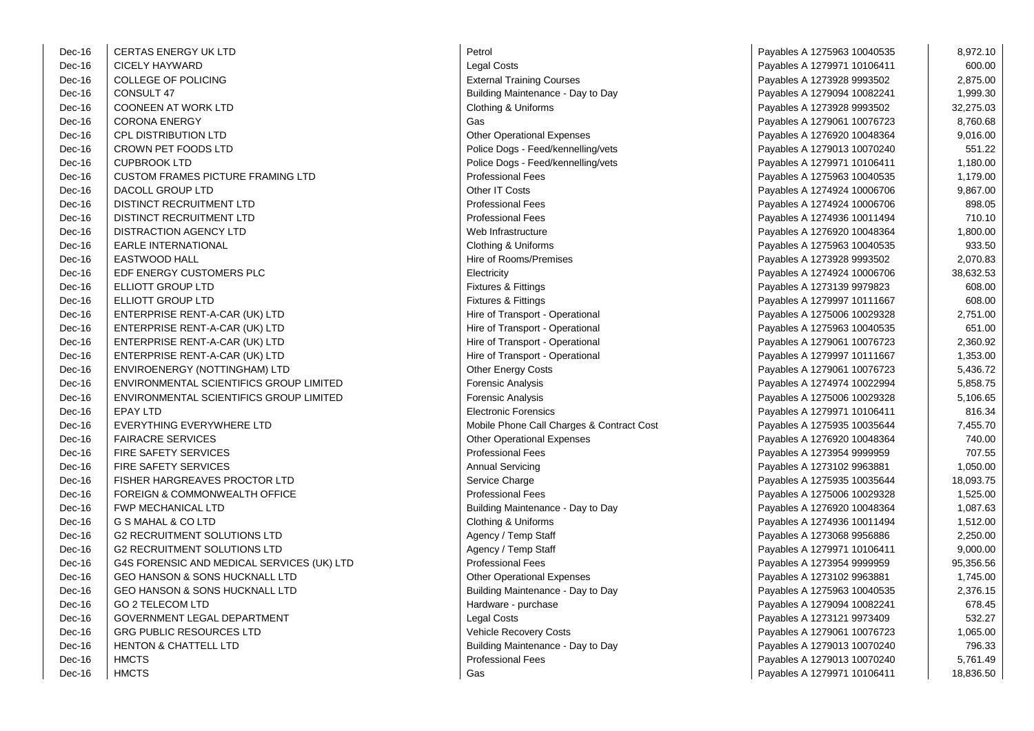| Dec-16 | <b>CERTAS ENERGY UK LTD</b>                | Petrol                                    | Payables A 1275963 10040535 | 8,972.10  |
|--------|--------------------------------------------|-------------------------------------------|-----------------------------|-----------|
| Dec-16 | <b>CICELY HAYWARD</b>                      | <b>Legal Costs</b>                        | Payables A 1279971 10106411 | 600.00    |
| Dec-16 | <b>COLLEGE OF POLICING</b>                 | <b>External Training Courses</b>          | Payables A 1273928 9993502  | 2,875.00  |
| Dec-16 | CONSULT 47                                 | Building Maintenance - Day to Day         | Payables A 1279094 10082241 | 1,999.30  |
| Dec-16 | <b>COONEEN AT WORK LTD</b>                 | Clothing & Uniforms                       | Payables A 1273928 9993502  | 32,275.03 |
| Dec-16 | <b>CORONA ENERGY</b>                       | Gas                                       | Payables A 1279061 10076723 | 8,760.68  |
| Dec-16 | <b>CPL DISTRIBUTION LTD</b>                | <b>Other Operational Expenses</b>         | Payables A 1276920 10048364 | 9,016.00  |
| Dec-16 | CROWN PET FOODS LTD                        | Police Dogs - Feed/kennelling/vets        | Payables A 1279013 10070240 | 551.22    |
| Dec-16 | <b>CUPBROOK LTD</b>                        | Police Dogs - Feed/kennelling/vets        | Payables A 1279971 10106411 | 1,180.00  |
| Dec-16 | <b>CUSTOM FRAMES PICTURE FRAMING LTD</b>   | <b>Professional Fees</b>                  | Payables A 1275963 10040535 | 1,179.00  |
| Dec-16 | DACOLL GROUP LTD                           | Other IT Costs                            | Payables A 1274924 10006706 | 9,867.00  |
| Dec-16 | DISTINCT RECRUITMENT LTD                   | <b>Professional Fees</b>                  | Payables A 1274924 10006706 | 898.05    |
| Dec-16 | DISTINCT RECRUITMENT LTD                   | <b>Professional Fees</b>                  | Payables A 1274936 10011494 | 710.10    |
| Dec-16 | DISTRACTION AGENCY LTD                     | Web Infrastructure                        | Payables A 1276920 10048364 | 1,800.00  |
| Dec-16 | <b>EARLE INTERNATIONAL</b>                 | Clothing & Uniforms                       | Payables A 1275963 10040535 | 933.50    |
| Dec-16 | <b>EASTWOOD HALL</b>                       | Hire of Rooms/Premises                    | Payables A 1273928 9993502  | 2,070.83  |
| Dec-16 | EDF ENERGY CUSTOMERS PLC                   | Electricity                               | Payables A 1274924 10006706 | 38,632.53 |
| Dec-16 | ELLIOTT GROUP LTD                          | <b>Fixtures &amp; Fittings</b>            | Payables A 1273139 9979823  | 608.00    |
| Dec-16 | ELLIOTT GROUP LTD                          | <b>Fixtures &amp; Fittings</b>            | Payables A 1279997 10111667 | 608.00    |
| Dec-16 | ENTERPRISE RENT-A-CAR (UK) LTD             | Hire of Transport - Operational           | Payables A 1275006 10029328 | 2,751.00  |
| Dec-16 | ENTERPRISE RENT-A-CAR (UK) LTD             | Hire of Transport - Operational           | Payables A 1275963 10040535 | 651.00    |
| Dec-16 | ENTERPRISE RENT-A-CAR (UK) LTD             | Hire of Transport - Operational           | Payables A 1279061 10076723 | 2,360.92  |
| Dec-16 | ENTERPRISE RENT-A-CAR (UK) LTD             | Hire of Transport - Operational           | Payables A 1279997 10111667 | 1,353.00  |
| Dec-16 | ENVIROENERGY (NOTTINGHAM) LTD              | Other Energy Costs                        | Payables A 1279061 10076723 | 5,436.72  |
| Dec-16 | ENVIRONMENTAL SCIENTIFICS GROUP LIMITED    | Forensic Analysis                         | Payables A 1274974 10022994 | 5,858.75  |
| Dec-16 | ENVIRONMENTAL SCIENTIFICS GROUP LIMITED    | Forensic Analysis                         | Payables A 1275006 10029328 | 5,106.65  |
| Dec-16 | <b>EPAY LTD</b>                            | <b>Electronic Forensics</b>               | Payables A 1279971 10106411 | 816.34    |
| Dec-16 | EVERYTHING EVERYWHERE LTD                  | Mobile Phone Call Charges & Contract Cost | Payables A 1275935 10035644 | 7,455.70  |
| Dec-16 | <b>FAIRACRE SERVICES</b>                   | <b>Other Operational Expenses</b>         | Payables A 1276920 10048364 | 740.00    |
| Dec-16 | <b>FIRE SAFETY SERVICES</b>                | <b>Professional Fees</b>                  | Payables A 1273954 9999959  | 707.55    |
| Dec-16 | <b>FIRE SAFETY SERVICES</b>                | <b>Annual Servicing</b>                   | Payables A 1273102 9963881  | 1,050.00  |
| Dec-16 | FISHER HARGREAVES PROCTOR LTD              | Service Charge                            | Payables A 1275935 10035644 | 18,093.75 |
| Dec-16 | FOREIGN & COMMONWEALTH OFFICE              | <b>Professional Fees</b>                  | Payables A 1275006 10029328 | 1,525.00  |
| Dec-16 | <b>FWP MECHANICAL LTD</b>                  | Building Maintenance - Day to Day         | Payables A 1276920 10048364 | 1,087.63  |
| Dec-16 | G S MAHAL & CO LTD                         | Clothing & Uniforms                       | Payables A 1274936 10011494 | 1,512.00  |
| Dec-16 | <b>G2 RECRUITMENT SOLUTIONS LTD</b>        | Agency / Temp Staff                       | Payables A 1273068 9956886  | 2,250.00  |
| Dec-16 | <b>G2 RECRUITMENT SOLUTIONS LTD</b>        | Agency / Temp Staff                       | Payables A 1279971 10106411 | 9,000.00  |
| Dec-16 | G4S FORENSIC AND MEDICAL SERVICES (UK) LTD | <b>Professional Fees</b>                  | Payables A 1273954 9999959  | 95,356.56 |
| Dec-16 | GEO HANSON & SONS HUCKNALL LTD             | <b>Other Operational Expenses</b>         | Payables A 1273102 9963881  | 1,745.00  |
| Dec-16 | <b>GEO HANSON &amp; SONS HUCKNALL LTD</b>  | Building Maintenance - Day to Day         | Payables A 1275963 10040535 | 2,376.15  |
| Dec-16 | <b>GO 2 TELECOM LTD</b>                    | Hardware - purchase                       | Payables A 1279094 10082241 | 678.45    |
| Dec-16 | GOVERNMENT LEGAL DEPARTMENT                | Legal Costs                               | Payables A 1273121 9973409  | 532.27    |
| Dec-16 | <b>GRG PUBLIC RESOURCES LTD</b>            | Vehicle Recovery Costs                    | Payables A 1279061 10076723 | 1,065.00  |
| Dec-16 | <b>HENTON &amp; CHATTELL LTD</b>           | Building Maintenance - Day to Day         | Payables A 1279013 10070240 | 796.33    |
| Dec-16 | <b>HMCTS</b>                               | <b>Professional Fees</b>                  | Payables A 1279013 10070240 | 5,761.49  |
| Dec-16 | <b>HMCTS</b>                               | Gas                                       | Payables A 1279971 10106411 | 18,836.50 |

| Petrol                                                   |
|----------------------------------------------------------|
| Legal Costs                                              |
| <b>External Training Courses</b>                         |
| Building Maintenance - Day to Day                        |
| Clothing & Uniforms                                      |
| Gas                                                      |
| <b>Other Operational Expenses</b>                        |
| Police Dogs - Feed/kennelling/vets                       |
| Police Dogs - Feed/kennelling/vets                       |
| <b>Professional Fees</b>                                 |
| Other IT Costs                                           |
| <b>Professional Fees</b>                                 |
| <b>Professional Fees</b>                                 |
| Web Infrastructure                                       |
| Clothing & Uniforms                                      |
| <b>Hire of Rooms/Premises</b>                            |
| Electricity                                              |
| Fixtures & Fittings                                      |
| Fixtures & Fittings                                      |
| Hire of Transport - Operational                          |
| Hire of Transport - Operational                          |
| Hire of Transport - Operational                          |
| Hire of Transport - Operational                          |
| Other Energy Costs                                       |
| Forensic Analysis                                        |
| <b>Forensic Analysis</b>                                 |
| <b>Electronic Forensics</b>                              |
| Mobile Phone Call Charges & Contract Cos                 |
| <b>Other Operational Expenses</b>                        |
| <b>Professional Fees</b>                                 |
| Annual Servicing                                         |
| Service Charge                                           |
| <b>Professional Fees</b>                                 |
| Building Maintenance - Day to Day                        |
|                                                          |
| Clothing & Uniforms<br>Agency / Temp Staff               |
| Agency / Temp Staff                                      |
| <b>Professional Fees</b>                                 |
| <b>Other Operational Expenses</b>                        |
|                                                          |
| Building Maintenance - Day to Day<br>Hardware - purchase |
|                                                          |
| Legal Costs                                              |
| Vehicle Recovery Costs                                   |
| Building Maintenance - Day to Day                        |
| <b>Professional Fees</b><br>Gas                          |
|                                                          |

| Petrol                                    | Payables A 1275963 10040535 | 8,972.10  |
|-------------------------------------------|-----------------------------|-----------|
| Legal Costs                               | Payables A 1279971 10106411 | 600.00    |
| <b>External Training Courses</b>          | Payables A 1273928 9993502  | 2,875.00  |
| Building Maintenance - Day to Day         | Payables A 1279094 10082241 | 1,999.30  |
| Clothing & Uniforms                       | Payables A 1273928 9993502  | 32,275.03 |
| Gas                                       | Payables A 1279061 10076723 | 8,760.68  |
| Other Operational Expenses                | Payables A 1276920 10048364 | 9,016.00  |
| Police Dogs - Feed/kennelling/vets        | Payables A 1279013 10070240 | 551.22    |
| Police Dogs - Feed/kennelling/vets        | Payables A 1279971 10106411 | 1,180.00  |
| <b>Professional Fees</b>                  | Payables A 1275963 10040535 | 1,179.00  |
| Other IT Costs                            | Payables A 1274924 10006706 | 9,867.00  |
| <b>Professional Fees</b>                  | Payables A 1274924 10006706 | 898.05    |
| <b>Professional Fees</b>                  | Payables A 1274936 10011494 | 710.10    |
| Web Infrastructure                        | Payables A 1276920 10048364 | 1,800.00  |
| Clothing & Uniforms                       | Payables A 1275963 10040535 | 933.50    |
| Hire of Rooms/Premises                    | Payables A 1273928 9993502  | 2,070.83  |
| Electricity                               | Payables A 1274924 10006706 | 38,632.53 |
| Fixtures & Fittings                       | Payables A 1273139 9979823  | 608.00    |
| Fixtures & Fittings                       | Payables A 1279997 10111667 | 608.00    |
| Hire of Transport - Operational           | Payables A 1275006 10029328 | 2,751.00  |
| Hire of Transport - Operational           | Payables A 1275963 10040535 | 651.00    |
| Hire of Transport - Operational           | Payables A 1279061 10076723 | 2,360.92  |
| Hire of Transport - Operational           | Payables A 1279997 10111667 | 1,353.00  |
| Other Energy Costs                        | Payables A 1279061 10076723 | 5,436.72  |
| Forensic Analysis                         | Payables A 1274974 10022994 | 5,858.75  |
| Forensic Analysis                         | Payables A 1275006 10029328 | 5,106.65  |
| <b>Electronic Forensics</b>               | Payables A 1279971 10106411 | 816.34    |
| Mobile Phone Call Charges & Contract Cost | Payables A 1275935 10035644 | 7,455.70  |
| Other Operational Expenses                | Payables A 1276920 10048364 | 740.00    |
| <b>Professional Fees</b>                  | Payables A 1273954 9999959  | 707.55    |
| Annual Servicing                          | Payables A 1273102 9963881  | 1,050.00  |
| Service Charge                            | Payables A 1275935 10035644 | 18,093.75 |
| Professional Fees                         | Payables A 1275006 10029328 | 1,525.00  |
| Building Maintenance - Day to Day         | Payables A 1276920 10048364 | 1,087.63  |
| Clothing & Uniforms                       | Payables A 1274936 10011494 | 1,512.00  |
| Agency / Temp Staff                       | Payables A 1273068 9956886  | 2,250.00  |
| Agency / Temp Staff                       | Payables A 1279971 10106411 | 9,000.00  |
| <b>Professional Fees</b>                  | Payables A 1273954 9999959  | 95,356.56 |
| <b>Other Operational Expenses</b>         | Payables A 1273102 9963881  | 1,745.00  |
| Building Maintenance - Day to Day         | Payables A 1275963 10040535 | 2,376.15  |
| Hardware - purchase                       | Payables A 1279094 10082241 | 678.45    |
| Legal Costs                               | Payables A 1273121 9973409  | 532.27    |
| Vehicle Recovery Costs                    | Payables A 1279061 10076723 | 1,065.00  |
| Building Maintenance - Day to Day         | Payables A 1279013 10070240 | 796.33    |
| Professional Fees                         | Payables A 1279013 10070240 | 5,761.49  |
| Gas                                       | Payables A 1279971 10106411 | 18,836.50 |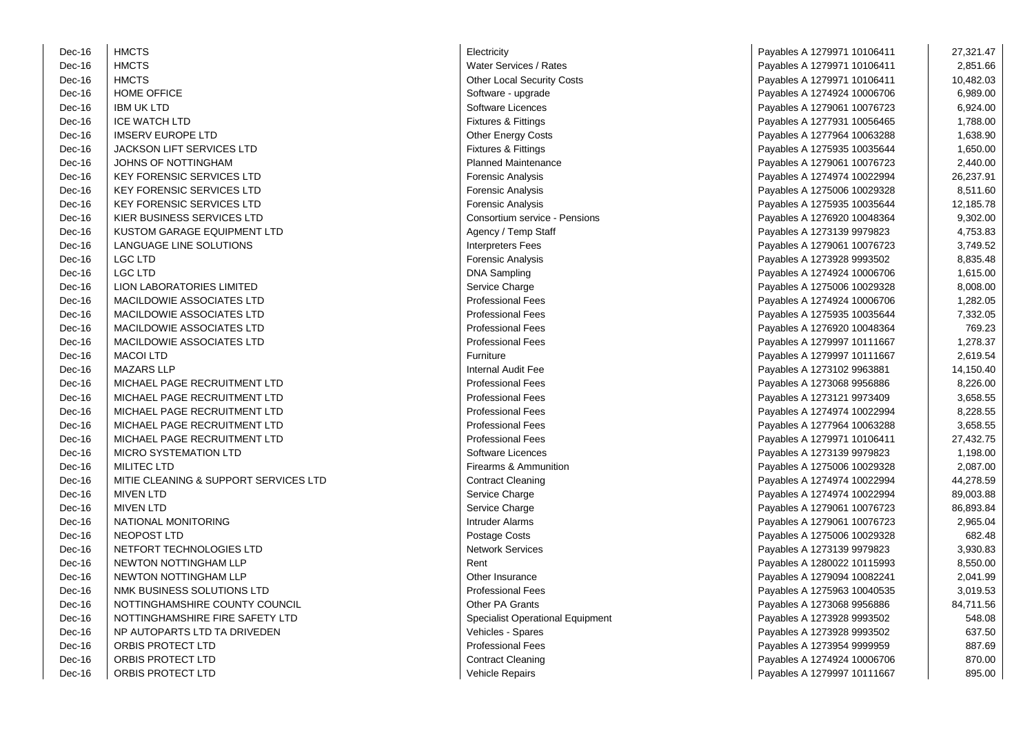| Dec-16 | <b>HMCTS</b>                          | Electricity                             | Payables A 1279971 10106411 | 27,321.47 |
|--------|---------------------------------------|-----------------------------------------|-----------------------------|-----------|
| Dec-16 | <b>HMCTS</b>                          | Water Services / Rates                  | Payables A 1279971 10106411 | 2,851.66  |
| Dec-16 | <b>HMCTS</b>                          | <b>Other Local Security Costs</b>       | Payables A 1279971 10106411 | 10,482.03 |
| Dec-16 | HOME OFFICE                           | Software - upgrade                      | Payables A 1274924 10006706 | 6,989.00  |
| Dec-16 | <b>IBM UK LTD</b>                     | Software Licences                       | Payables A 1279061 10076723 | 6,924.00  |
| Dec-16 | <b>ICE WATCH LTD</b>                  | Fixtures & Fittings                     | Payables A 1277931 10056465 | 1,788.00  |
| Dec-16 | <b>IMSERV EUROPE LTD</b>              | <b>Other Energy Costs</b>               | Payables A 1277964 10063288 | 1,638.90  |
| Dec-16 | <b>JACKSON LIFT SERVICES LTD</b>      | <b>Fixtures &amp; Fittings</b>          | Payables A 1275935 10035644 | 1,650.00  |
| Dec-16 | JOHNS OF NOTTINGHAM                   | <b>Planned Maintenance</b>              | Payables A 1279061 10076723 | 2,440.00  |
| Dec-16 | <b>KEY FORENSIC SERVICES LTD</b>      | <b>Forensic Analysis</b>                | Payables A 1274974 10022994 | 26,237.91 |
| Dec-16 | <b>KEY FORENSIC SERVICES LTD</b>      | <b>Forensic Analysis</b>                | Payables A 1275006 10029328 | 8,511.60  |
| Dec-16 | <b>KEY FORENSIC SERVICES LTD</b>      | <b>Forensic Analysis</b>                | Payables A 1275935 10035644 | 12,185.78 |
| Dec-16 | KIER BUSINESS SERVICES LTD            | Consortium service - Pensions           | Payables A 1276920 10048364 | 9,302.00  |
| Dec-16 | KUSTOM GARAGE EQUIPMENT LTD           | Agency / Temp Staff                     | Payables A 1273139 9979823  | 4,753.83  |
| Dec-16 | LANGUAGE LINE SOLUTIONS               | <b>Interpreters Fees</b>                | Payables A 1279061 10076723 | 3,749.52  |
| Dec-16 | LGC LTD                               | <b>Forensic Analysis</b>                | Payables A 1273928 9993502  | 8,835.48  |
| Dec-16 | <b>LGC LTD</b>                        | <b>DNA Sampling</b>                     | Payables A 1274924 10006706 | 1,615.00  |
| Dec-16 | LION LABORATORIES LIMITED             | Service Charge                          | Payables A 1275006 10029328 | 8,008.00  |
| Dec-16 | MACILDOWIE ASSOCIATES LTD             | <b>Professional Fees</b>                | Payables A 1274924 10006706 | 1,282.05  |
| Dec-16 | MACILDOWIE ASSOCIATES LTD             | <b>Professional Fees</b>                | Payables A 1275935 10035644 | 7,332.05  |
| Dec-16 | MACILDOWIE ASSOCIATES LTD             | <b>Professional Fees</b>                | Payables A 1276920 10048364 | 769.23    |
| Dec-16 | MACILDOWIE ASSOCIATES LTD             | <b>Professional Fees</b>                | Payables A 1279997 10111667 | 1,278.37  |
| Dec-16 | <b>MACOI LTD</b>                      | Furniture                               | Payables A 1279997 10111667 | 2,619.54  |
| Dec-16 | <b>MAZARS LLP</b>                     | Internal Audit Fee                      | Payables A 1273102 9963881  | 14,150.40 |
| Dec-16 | MICHAEL PAGE RECRUITMENT LTD          | <b>Professional Fees</b>                | Payables A 1273068 9956886  | 8,226.00  |
| Dec-16 | MICHAEL PAGE RECRUITMENT LTD          | <b>Professional Fees</b>                | Payables A 1273121 9973409  | 3,658.55  |
| Dec-16 | MICHAEL PAGE RECRUITMENT LTD          | <b>Professional Fees</b>                | Payables A 1274974 10022994 | 8,228.55  |
| Dec-16 | MICHAEL PAGE RECRUITMENT LTD          | <b>Professional Fees</b>                | Payables A 1277964 10063288 | 3,658.55  |
| Dec-16 | MICHAEL PAGE RECRUITMENT LTD          | <b>Professional Fees</b>                | Payables A 1279971 10106411 | 27,432.75 |
| Dec-16 | <b>MICRO SYSTEMATION LTD</b>          | Software Licences                       | Payables A 1273139 9979823  | 1,198.00  |
| Dec-16 | <b>MILITEC LTD</b>                    | Firearms & Ammunition                   | Payables A 1275006 10029328 | 2,087.00  |
| Dec-16 | MITIE CLEANING & SUPPORT SERVICES LTD | <b>Contract Cleaning</b>                | Payables A 1274974 10022994 | 44,278.59 |
| Dec-16 | <b>MIVEN LTD</b>                      | Service Charge                          | Payables A 1274974 10022994 | 89,003.88 |
| Dec-16 | <b>MIVEN LTD</b>                      | Service Charge                          | Payables A 1279061 10076723 | 86,893.84 |
| Dec-16 | NATIONAL MONITORING                   | <b>Intruder Alarms</b>                  | Payables A 1279061 10076723 | 2,965.04  |
| Dec-16 | NEOPOST LTD                           | Postage Costs                           | Payables A 1275006 10029328 | 682.48    |
| Dec-16 | NETFORT TECHNOLOGIES LTD              | <b>Network Services</b>                 | Payables A 1273139 9979823  | 3,930.83  |
| Dec-16 | NEWTON NOTTINGHAM LLP                 | Rent                                    | Payables A 1280022 10115993 | 8,550.00  |
| Dec-16 | NEWTON NOTTINGHAM LLP                 | Other Insurance                         | Payables A 1279094 10082241 | 2,041.99  |
| Dec-16 | NMK BUSINESS SOLUTIONS LTD            | <b>Professional Fees</b>                | Payables A 1275963 10040535 | 3,019.53  |
| Dec-16 | NOTTINGHAMSHIRE COUNTY COUNCIL        | <b>Other PA Grants</b>                  | Payables A 1273068 9956886  | 84,711.56 |
| Dec-16 | NOTTINGHAMSHIRE FIRE SAFETY LTD       | <b>Specialist Operational Equipment</b> | Payables A 1273928 9993502  | 548.08    |
| Dec-16 | NP AUTOPARTS LTD TA DRIVEDEN          | Vehicles - Spares                       | Payables A 1273928 9993502  | 637.50    |
| Dec-16 | ORBIS PROTECT LTD                     | Professional Fees                       | Payables A 1273954 9999959  | 887.69    |
| Dec-16 | ORBIS PROTECT LTD                     | <b>Contract Cleaning</b>                | Payables A 1274924 10006706 | 870.00    |
| Dec-16 | ORBIS PROTECT LTD                     | <b>Vehicle Repairs</b>                  | Payables A 1279997 10111667 | 895.00    |
|        |                                       |                                         |                             |           |

| Electricity                       |
|-----------------------------------|
| Water Services / Rates            |
| <b>Other Local Security Costs</b> |
| Software - upgrade                |
| Software Licences                 |
| <b>Fixtures &amp; Fittings</b>    |
| Other Energy Costs                |
| <b>Fixtures &amp; Fittings</b>    |
| <b>Planned Maintenance</b>        |
| Forensic Analysis                 |
| Forensic Analysis                 |
| Forensic Analysis                 |
| Consortium service - Pensions     |
| Agency / Temp Staff               |
| <b>Interpreters Fees</b>          |
| Forensic Analysis                 |
| <b>DNA Sampling</b>               |
| Service Charge                    |
| <b>Professional Fees</b>          |
| <b>Professional Fees</b>          |
| <b>Professional Fees</b>          |
| <b>Professional Fees</b>          |
| Furniture                         |
| <b>Internal Audit Fee</b>         |
| <b>Professional Fees</b>          |
| <b>Professional Fees</b>          |
| <b>Professional Fees</b>          |
| <b>Professional Fees</b>          |
| <b>Professional Fees</b>          |
| Software Licences                 |
| Firearms & Ammunition             |
| <b>Contract Cleaning</b>          |
| Service Charge                    |
| Service Charge                    |
| <b>Intruder Alarms</b>            |
| Postage Costs                     |
| <b>Network Services</b>           |
| Rent                              |
| Other Insurance                   |
| <b>Professional Fees</b>          |
| Other PA Grants                   |
| Specialist Operational Equipmer   |
| Vehicles - Spares                 |
| <b>Professional Fees</b>          |
| <b>Contract Cleaning</b>          |
| Vehicle Repairs                   |

| -16 | <b>HMCTS</b>                          | Electricity                      | Payables A 1279971 10106411 | 27,321.47 |
|-----|---------------------------------------|----------------------------------|-----------------------------|-----------|
| -16 | <b>HMCTS</b>                          | Water Services / Rates           | Payables A 1279971 10106411 | 2,851.66  |
| -16 | <b>HMCTS</b>                          | Other Local Security Costs       | Payables A 1279971 10106411 | 10,482.03 |
| -16 | <b>HOME OFFICE</b>                    | Software - upgrade               | Payables A 1274924 10006706 | 6,989.00  |
| -16 | <b>IBM UK LTD</b>                     | Software Licences                | Payables A 1279061 10076723 | 6,924.00  |
| -16 | <b>ICE WATCH LTD</b>                  | Fixtures & Fittings              | Payables A 1277931 10056465 | 1,788.00  |
| -16 | <b>IMSERV EUROPE LTD</b>              | <b>Other Energy Costs</b>        | Payables A 1277964 10063288 | 1,638.90  |
| -16 | <b>JACKSON LIFT SERVICES LTD</b>      | Fixtures & Fittings              | Payables A 1275935 10035644 | 1,650.00  |
| -16 | JOHNS OF NOTTINGHAM                   | <b>Planned Maintenance</b>       | Payables A 1279061 10076723 | 2,440.00  |
| -16 | <b>KEY FORENSIC SERVICES LTD</b>      | <b>Forensic Analysis</b>         | Payables A 1274974 10022994 | 26,237.91 |
| -16 | <b>KEY FORENSIC SERVICES LTD</b>      | <b>Forensic Analysis</b>         | Payables A 1275006 10029328 | 8,511.60  |
| -16 | <b>KEY FORENSIC SERVICES LTD</b>      | <b>Forensic Analysis</b>         | Payables A 1275935 10035644 | 12,185.78 |
| -16 | KIER BUSINESS SERVICES LTD            | Consortium service - Pensions    | Payables A 1276920 10048364 | 9,302.00  |
| -16 | KUSTOM GARAGE EQUIPMENT LTD           | Agency / Temp Staff              | Payables A 1273139 9979823  | 4,753.83  |
| -16 | LANGUAGE LINE SOLUTIONS               | <b>Interpreters Fees</b>         | Payables A 1279061 10076723 | 3,749.52  |
| -16 | <b>LGC LTD</b>                        | <b>Forensic Analysis</b>         | Payables A 1273928 9993502  | 8,835.48  |
| -16 | <b>LGC LTD</b>                        | <b>DNA Sampling</b>              | Payables A 1274924 10006706 | 1,615.00  |
| -16 | LION LABORATORIES LIMITED             | Service Charge                   | Payables A 1275006 10029328 | 8,008.00  |
| -16 | MACILDOWIE ASSOCIATES LTD             | <b>Professional Fees</b>         | Payables A 1274924 10006706 | 1,282.05  |
| -16 | <b>MACILDOWIE ASSOCIATES LTD</b>      | <b>Professional Fees</b>         | Payables A 1275935 10035644 | 7,332.05  |
| -16 | <b>MACILDOWIE ASSOCIATES LTD</b>      | <b>Professional Fees</b>         | Payables A 1276920 10048364 | 769.23    |
| -16 | <b>MACILDOWIE ASSOCIATES LTD</b>      | <b>Professional Fees</b>         | Payables A 1279997 10111667 | 1,278.37  |
| -16 | <b>MACOI LTD</b>                      | Furniture                        | Payables A 1279997 10111667 | 2,619.54  |
| -16 | <b>MAZARS LLP</b>                     | Internal Audit Fee               | Payables A 1273102 9963881  | 14,150.40 |
| -16 | MICHAEL PAGE RECRUITMENT LTD          | <b>Professional Fees</b>         | Payables A 1273068 9956886  | 8,226.00  |
| -16 | MICHAEL PAGE RECRUITMENT LTD          | <b>Professional Fees</b>         | Payables A 1273121 9973409  | 3,658.55  |
| -16 | MICHAEL PAGE RECRUITMENT LTD          | <b>Professional Fees</b>         | Payables A 1274974 10022994 | 8,228.55  |
| -16 | MICHAEL PAGE RECRUITMENT LTD          | <b>Professional Fees</b>         | Payables A 1277964 10063288 | 3,658.55  |
| -16 | MICHAEL PAGE RECRUITMENT LTD          | <b>Professional Fees</b>         | Payables A 1279971 10106411 | 27,432.75 |
| -16 | <b>MICRO SYSTEMATION LTD</b>          | Software Licences                | Payables A 1273139 9979823  | 1,198.00  |
| -16 | <b>MILITEC LTD</b>                    | Firearms & Ammunition            | Payables A 1275006 10029328 | 2,087.00  |
| -16 | MITIE CLEANING & SUPPORT SERVICES LTD | <b>Contract Cleaning</b>         | Payables A 1274974 10022994 | 44,278.59 |
| -16 | <b>MIVEN LTD</b>                      | Service Charge                   | Payables A 1274974 10022994 | 89,003.88 |
| -16 | <b>MIVEN LTD</b>                      | Service Charge                   | Payables A 1279061 10076723 | 86,893.84 |
| -16 | NATIONAL MONITORING                   | <b>Intruder Alarms</b>           | Payables A 1279061 10076723 | 2,965.04  |
| -16 | <b>NEOPOST LTD</b>                    | Postage Costs                    | Payables A 1275006 10029328 | 682.48    |
| -16 | NETFORT TECHNOLOGIES LTD              | <b>Network Services</b>          | Payables A 1273139 9979823  | 3,930.83  |
| -16 | NEWTON NOTTINGHAM LLP                 | Rent                             | Payables A 1280022 10115993 | 8,550.00  |
| -16 | NEWTON NOTTINGHAM LLP                 | Other Insurance                  | Payables A 1279094 10082241 | 2,041.99  |
| -16 | NMK BUSINESS SOLUTIONS LTD            | <b>Professional Fees</b>         | Payables A 1275963 10040535 | 3,019.53  |
| -16 | NOTTINGHAMSHIRE COUNTY COUNCIL        | Other PA Grants                  | Payables A 1273068 9956886  | 84,711.56 |
| -16 | NOTTINGHAMSHIRE FIRE SAFETY LTD       | Specialist Operational Equipment | Payables A 1273928 9993502  | 548.08    |
| -16 | NP AUTOPARTS LTD TA DRIVEDEN          | Vehicles - Spares                | Payables A 1273928 9993502  | 637.50    |
| -16 | ORBIS PROTECT LTD                     | <b>Professional Fees</b>         | Payables A 1273954 9999959  | 887.69    |
| -16 | <b>ORBIS PROTECT LTD</b>              | <b>Contract Cleaning</b>         | Payables A 1274924 10006706 | 870.00    |
| -16 | ORRIS PROTECT LTD                     | Vehicle Renairs                  | Payables A 1270007 10111667 | 895.00    |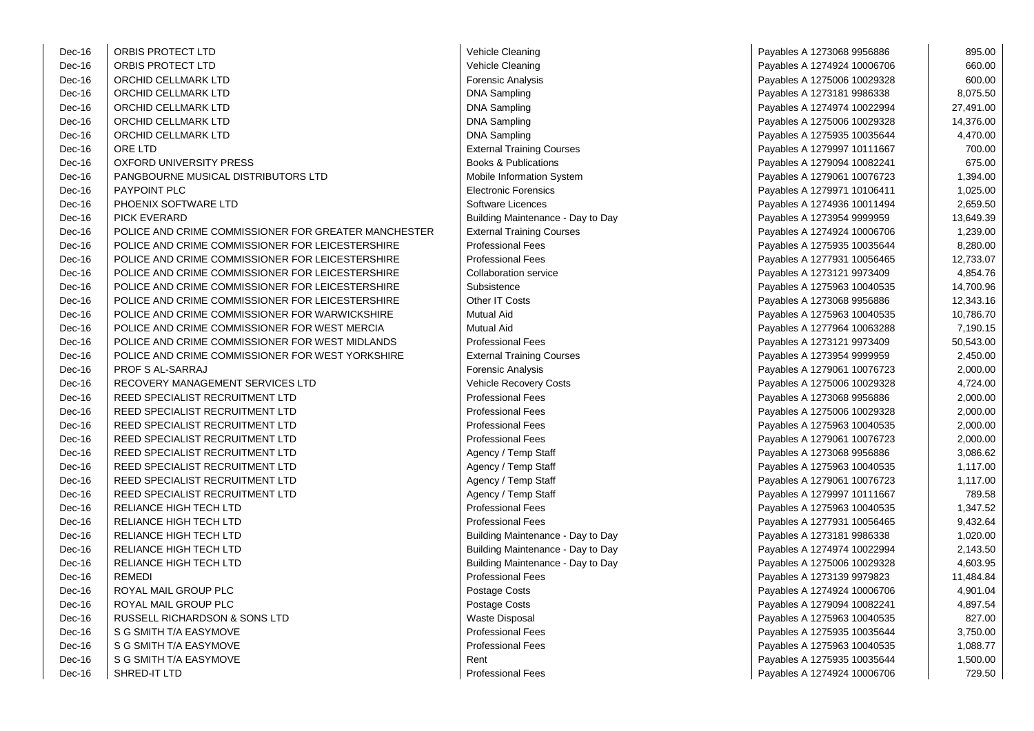| Dec-16 | ORBIS PROTECT LTD                                    | Vehicle Cleaning                  | Payables A 1273068 9956886  | 895.00    |
|--------|------------------------------------------------------|-----------------------------------|-----------------------------|-----------|
| Dec-16 | ORBIS PROTECT LTD                                    | Vehicle Cleaning                  | Payables A 1274924 10006706 | 660.00    |
| Dec-16 | ORCHID CELLMARK LTD                                  | Forensic Analysis                 | Payables A 1275006 10029328 | 600.00    |
| Dec-16 | ORCHID CELLMARK LTD                                  | <b>DNA Sampling</b>               | Payables A 1273181 9986338  | 8,075.50  |
| Dec-16 | ORCHID CELLMARK LTD                                  | <b>DNA Sampling</b>               | Payables A 1274974 10022994 | 27,491.00 |
| Dec-16 | ORCHID CELLMARK LTD                                  | <b>DNA Sampling</b>               | Payables A 1275006 10029328 | 14,376.00 |
| Dec-16 | ORCHID CELLMARK LTD                                  | <b>DNA Sampling</b>               | Payables A 1275935 10035644 | 4,470.00  |
| Dec-16 | ORE LTD                                              | <b>External Training Courses</b>  | Payables A 1279997 10111667 | 700.00    |
| Dec-16 | <b>OXFORD UNIVERSITY PRESS</b>                       | <b>Books &amp; Publications</b>   | Payables A 1279094 10082241 | 675.00    |
| Dec-16 | PANGBOURNE MUSICAL DISTRIBUTORS LTD                  | Mobile Information System         | Payables A 1279061 10076723 | 1,394.00  |
| Dec-16 | PAYPOINT PLC                                         | <b>Electronic Forensics</b>       | Payables A 1279971 10106411 | 1,025.00  |
| Dec-16 | PHOENIX SOFTWARE LTD                                 | Software Licences                 | Payables A 1274936 10011494 | 2,659.50  |
| Dec-16 | <b>PICK EVERARD</b>                                  | Building Maintenance - Day to Day | Payables A 1273954 9999959  | 13,649.39 |
| Dec-16 | POLICE AND CRIME COMMISSIONER FOR GREATER MANCHESTER | <b>External Training Courses</b>  | Payables A 1274924 10006706 | 1,239.00  |
| Dec-16 | POLICE AND CRIME COMMISSIONER FOR LEICESTERSHIRE     | <b>Professional Fees</b>          | Payables A 1275935 10035644 | 8,280.00  |
| Dec-16 | POLICE AND CRIME COMMISSIONER FOR LEICESTERSHIRE     | <b>Professional Fees</b>          | Payables A 1277931 10056465 | 12,733.07 |
| Dec-16 | POLICE AND CRIME COMMISSIONER FOR LEICESTERSHIRE     | Collaboration service             | Payables A 1273121 9973409  | 4,854.76  |
| Dec-16 | POLICE AND CRIME COMMISSIONER FOR LEICESTERSHIRE     | Subsistence                       | Payables A 1275963 10040535 | 14,700.96 |
| Dec-16 | POLICE AND CRIME COMMISSIONER FOR LEICESTERSHIRE     | Other IT Costs                    |                             | 12,343.16 |
|        |                                                      | <b>Mutual Aid</b>                 | Payables A 1273068 9956886  |           |
| Dec-16 | POLICE AND CRIME COMMISSIONER FOR WARWICKSHIRE       | <b>Mutual Aid</b>                 | Payables A 1275963 10040535 | 10,786.70 |
| Dec-16 | POLICE AND CRIME COMMISSIONER FOR WEST MERCIA        |                                   | Payables A 1277964 10063288 | 7,190.15  |
| Dec-16 | POLICE AND CRIME COMMISSIONER FOR WEST MIDLANDS      | <b>Professional Fees</b>          | Payables A 1273121 9973409  | 50,543.00 |
| Dec-16 | POLICE AND CRIME COMMISSIONER FOR WEST YORKSHIRE     | <b>External Training Courses</b>  | Payables A 1273954 9999959  | 2,450.00  |
| Dec-16 | PROF S AL-SARRAJ                                     | <b>Forensic Analysis</b>          | Payables A 1279061 10076723 | 2,000.00  |
| Dec-16 | RECOVERY MANAGEMENT SERVICES LTD                     | Vehicle Recovery Costs            | Payables A 1275006 10029328 | 4,724.00  |
| Dec-16 | REED SPECIALIST RECRUITMENT LTD                      | <b>Professional Fees</b>          | Payables A 1273068 9956886  | 2,000.00  |
| Dec-16 | REED SPECIALIST RECRUITMENT LTD                      | <b>Professional Fees</b>          | Payables A 1275006 10029328 | 2,000.00  |
| Dec-16 | REED SPECIALIST RECRUITMENT LTD                      | <b>Professional Fees</b>          | Payables A 1275963 10040535 | 2,000.00  |
| Dec-16 | REED SPECIALIST RECRUITMENT LTD                      | <b>Professional Fees</b>          | Payables A 1279061 10076723 | 2,000.00  |
| Dec-16 | REED SPECIALIST RECRUITMENT LTD                      | Agency / Temp Staff               | Payables A 1273068 9956886  | 3,086.62  |
| Dec-16 | REED SPECIALIST RECRUITMENT LTD                      | Agency / Temp Staff               | Payables A 1275963 10040535 | 1,117.00  |
| Dec-16 | REED SPECIALIST RECRUITMENT LTD                      | Agency / Temp Staff               | Payables A 1279061 10076723 | 1,117.00  |
| Dec-16 | REED SPECIALIST RECRUITMENT LTD                      | Agency / Temp Staff               | Payables A 1279997 10111667 | 789.58    |
| Dec-16 | RELIANCE HIGH TECH LTD                               | <b>Professional Fees</b>          | Payables A 1275963 10040535 | 1,347.52  |
| Dec-16 | RELIANCE HIGH TECH LTD                               | <b>Professional Fees</b>          | Payables A 1277931 10056465 | 9,432.64  |
| Dec-16 | RELIANCE HIGH TECH LTD                               | Building Maintenance - Day to Day | Payables A 1273181 9986338  | 1,020.00  |
| Dec-16 | RELIANCE HIGH TECH LTD                               | Building Maintenance - Day to Day | Payables A 1274974 10022994 | 2,143.50  |
| Dec-16 | RELIANCE HIGH TECH LTD                               | Building Maintenance - Day to Day | Payables A 1275006 10029328 | 4,603.95  |
| Dec-16 | <b>REMEDI</b>                                        | <b>Professional Fees</b>          | Payables A 1273139 9979823  | 11,484.84 |
| Dec-16 | ROYAL MAIL GROUP PLC                                 | Postage Costs                     | Payables A 1274924 10006706 | 4,901.04  |
| Dec-16 | ROYAL MAIL GROUP PLC                                 | Postage Costs                     | Payables A 1279094 10082241 | 4,897.54  |
| Dec-16 | RUSSELL RICHARDSON & SONS LTD                        | Waste Disposal                    | Payables A 1275963 10040535 | 827.00    |
| Dec-16 | S G SMITH T/A EASYMOVE                               | <b>Professional Fees</b>          | Payables A 1275935 10035644 | 3,750.00  |
| Dec-16 | S G SMITH T/A EASYMOVE                               | <b>Professional Fees</b>          | Payables A 1275963 10040535 | 1,088.77  |
| Dec-16 | S G SMITH T/A EASYMOVE                               | Rent                              | Payables A 1275935 10035644 | 1,500.00  |
| Dec-16 | SHRED-IT LTD                                         | <b>Professional Fees</b>          | Payables A 1274924 10006706 | 729.50    |
|        |                                                      |                                   |                             |           |

| Vehicle Cleaning                  |
|-----------------------------------|
| Vehicle Cleaning                  |
| Forensic Analysis                 |
| <b>DNA Sampling</b>               |
| <b>DNA Sampling</b>               |
| <b>DNA Sampling</b>               |
| <b>DNA Sampling</b>               |
| <b>External Training Courses</b>  |
| <b>Books &amp; Publications</b>   |
| Mobile Information System         |
| <b>Electronic Forensics</b>       |
| Software Licences                 |
| Building Maintenance - Day to Day |
| <b>External Training Courses</b>  |
| <b>Professional Fees</b>          |
| <b>Professional Fees</b>          |
| <b>Collaboration service</b>      |
| Subsistence                       |
| Other IT Costs                    |
| Mutual Aid                        |
| <b>Mutual Aid</b>                 |
| <b>Professional Fees</b>          |
| <b>External Training Courses</b>  |
| Forensic Analysis                 |
| Vehicle Recovery Costs            |
| <b>Professional Fees</b>          |
| <b>Professional Fees</b>          |
| <b>Professional Fees</b>          |
| <b>Professional Fees</b>          |
| Agency / Temp Staff               |
| Agency / Temp Staff               |
| Agency / Temp Staff               |
| Agency / Temp Staff               |
| <b>Professional Fees</b>          |
| <b>Professional Fees</b>          |
| Building Maintenance - Day to Day |
| Building Maintenance - Day to Day |
| Building Maintenance - Day to Day |
| <b>Professional Fees</b>          |
| Postage Costs                     |
| Postage Costs                     |
| <b>Waste Disposal</b>             |
| <b>Professional Fees</b>          |
| <b>Professional Fees</b>          |
| Rent                              |
| <b>Professional Fees</b>          |
|                                   |

| Payables A 1273068 9956886  | 895.00    |
|-----------------------------|-----------|
| Payables A 1274924 10006706 | 660.00    |
| Payables A 1275006 10029328 | 600.00    |
| Payables A 1273181 9986338  | 8,075.50  |
| Payables A 1274974 10022994 | 27,491.00 |
| Payables A 1275006 10029328 | 14,376.00 |
| Payables A 1275935 10035644 | 4,470.00  |
| Payables A 1279997 10111667 | 700.00    |
| Payables A 1279094 10082241 | 675.00    |
| Payables A 1279061 10076723 | 1,394.00  |
| Payables A 1279971 10106411 | 1,025.00  |
| Payables A 1274936 10011494 | 2,659.50  |
| Payables A 1273954 9999959  | 13,649.39 |
| Payables A 1274924 10006706 | 1,239.00  |
| Payables A 1275935 10035644 | 8,280.00  |
| Payables A 1277931 10056465 | 12,733.07 |
| Payables A 1273121 9973409  | 4,854.76  |
| Payables A 1275963 10040535 | 14,700.96 |
| Payables A 1273068 9956886  | 12,343.16 |
| Payables A 1275963 10040535 | 10,786.70 |
| Payables A 1277964 10063288 | 7,190.15  |
| Payables A 1273121 9973409  | 50,543.00 |
| Payables A 1273954 9999959  | 2,450.00  |
| Payables A 1279061 10076723 | 2,000.00  |
| Payables A 1275006 10029328 | 4,724.00  |
| Payables A 1273068 9956886  | 2,000.00  |
| Payables A 1275006 10029328 | 2,000.00  |
| Payables A 1275963 10040535 | 2,000.00  |
| Payables A 1279061 10076723 | 2,000.00  |
| Payables A 1273068 9956886  | 3,086.62  |
| Payables A 1275963 10040535 | 1,117.00  |
| Payables A 1279061 10076723 | 1,117.00  |
| Payables A 1279997 10111667 | 789.58    |
| Payables A 1275963 10040535 | 1,347.52  |
| Payables A 1277931 10056465 | 9,432.64  |
| Payables A 1273181 9986338  | 1,020.00  |
| Payables A 1274974 10022994 | 2,143.50  |
| Payables A 1275006 10029328 | 4,603.95  |
| Payables A 1273139 9979823  | 11,484.84 |
| Payables A 1274924 10006706 | 4,901.04  |
| Payables A 1279094 10082241 | 4,897.54  |
| Payables A 1275963 10040535 | 827.00    |
| Payables A 1275935 10035644 | 3,750.00  |
| Payables A 1275963 10040535 | 1,088.77  |
| Payables A 1275935 10035644 | 1,500.00  |
| Pavables A 1274924 10006706 | 729.50    |